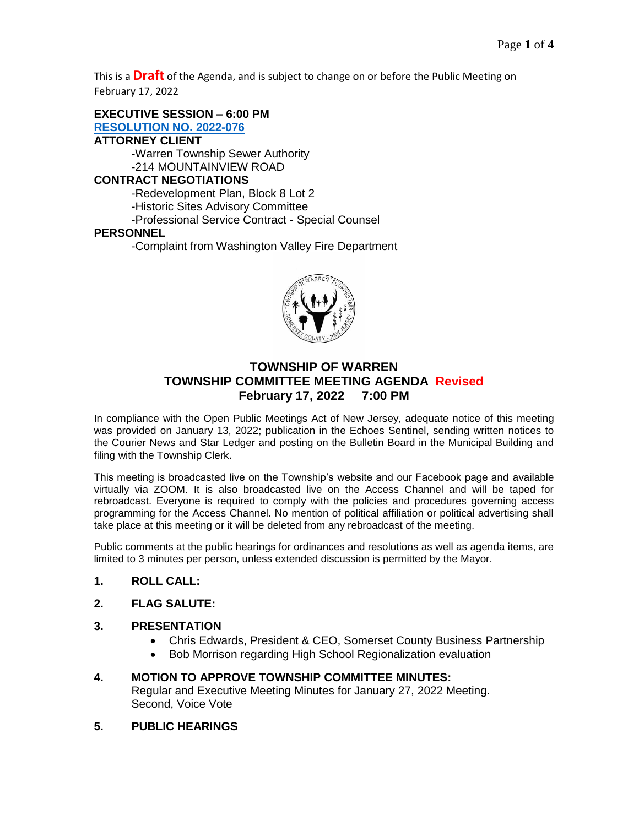This is a **Draft** of the Agenda, and is subject to change on or before the Public Meeting on February 17, 2022

**EXECUTIVE SESSION – 6:00 PM**

**[RESOLUTION NO.](https://nj-warrentownship.civicplus.com/DocumentCenter/View/5484/2022-076-Executive-Session-February-PDF) 2022-076 ATTORNEY CLIENT**

> -Warren Township Sewer Authority -214 MOUNTAINVIEW ROAD

## **CONTRACT NEGOTIATIONS**

-Redevelopment Plan, Block 8 Lot 2

-Historic Sites Advisory Committee

-Professional Service Contract - Special Counsel

### **PERSONNEL**

-Complaint from Washington Valley Fire Department



# **TOWNSHIP OF WARREN TOWNSHIP COMMITTEE MEETING AGENDA Revised February 17, 2022 7:00 PM**

In compliance with the Open Public Meetings Act of New Jersey, adequate notice of this meeting was provided on January 13, 2022; publication in the Echoes Sentinel, sending written notices to the Courier News and Star Ledger and posting on the Bulletin Board in the Municipal Building and filing with the Township Clerk.

This meeting is broadcasted live on the Township's website and our Facebook page and available virtually via ZOOM. It is also broadcasted live on the Access Channel and will be taped for rebroadcast. Everyone is required to comply with the policies and procedures governing access programming for the Access Channel. No mention of political affiliation or political advertising shall take place at this meeting or it will be deleted from any rebroadcast of the meeting.

Public comments at the public hearings for ordinances and resolutions as well as agenda items, are limited to 3 minutes per person, unless extended discussion is permitted by the Mayor.

- **1. ROLL CALL:**
- **2. FLAG SALUTE:**

## **3. PRESENTATION**

- Chris Edwards, President & CEO, Somerset County Business Partnership
- Bob Morrison regarding High School Regionalization evaluation
- **4. MOTION TO APPROVE TOWNSHIP COMMITTEE MINUTES:** Regular and Executive Meeting Minutes for January 27, 2022 Meeting. Second, Voice Vote
- **5. PUBLIC HEARINGS**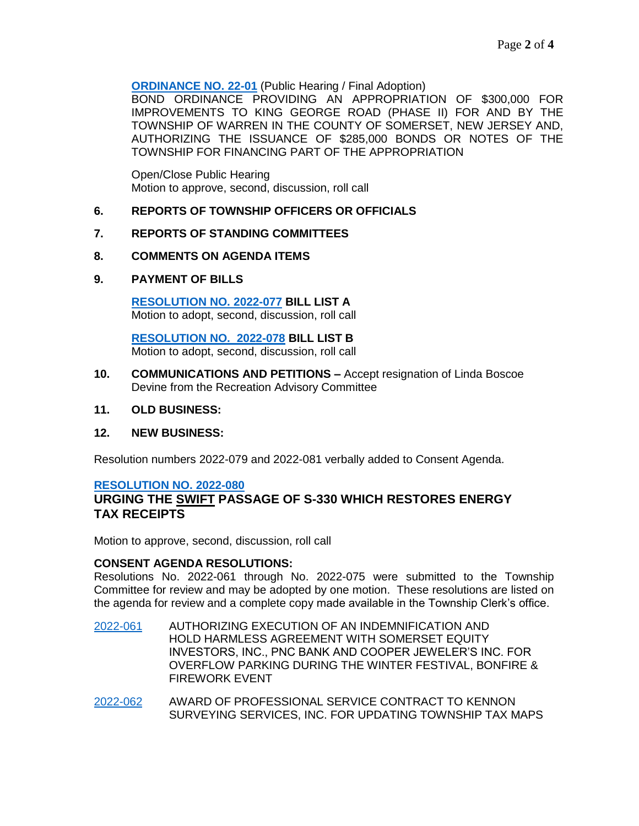**[ORDINANCE NO. 22-01](https://nj-warrentownship.civicplus.com/DocumentCenter/View/5472/Ordinance-22-01-Bond-Ord-300000-dollars---King-George-Road-Phase-II-PDF)** (Public Hearing / Final Adoption)

BOND ORDINANCE PROVIDING AN APPROPRIATION OF \$300,000 FOR IMPROVEMENTS TO KING GEORGE ROAD (PHASE II) FOR AND BY THE TOWNSHIP OF WARREN IN THE COUNTY OF SOMERSET, NEW JERSEY AND, AUTHORIZING THE ISSUANCE OF \$285,000 BONDS OR NOTES OF THE TOWNSHIP FOR FINANCING PART OF THE APPROPRIATION

Open/Close Public Hearing Motion to approve, second, discussion, roll call

## **6. REPORTS OF TOWNSHIP OFFICERS OR OFFICIALS**

### **7. REPORTS OF STANDING COMMITTEES**

#### **8. COMMENTS ON AGENDA ITEMS**

### **9. PAYMENT OF BILLS**

**[RESOLUTION NO. 2022-077](https://nj-warrentownship.civicplus.com/DocumentCenter/View/5470/2022-077-Bill-List-A-PDF) BILL LIST A** Motion to adopt, second, discussion, roll call

 **[RESOLUTION NO. 2022-078](https://nj-warrentownship.civicplus.com/DocumentCenter/View/5471/2022-078-Bill-List-B-PDF) BILL LIST B** Motion to adopt, second, discussion, roll call

- **10. COMMUNICATIONS AND PETITIONS –** Accept resignation of Linda Boscoe Devine from the Recreation Advisory Committee
- **11. OLD BUSINESS:**

#### **12. NEW BUSINESS:**

Resolution numbers 2022-079 and 2022-081 verbally added to Consent Agenda.

#### **[RESOLUTION NO. 2022-080](https://nj-warrentownship.civicplus.com/DocumentCenter/View/5487/2022-080-Urging-restoration-of-the-energy-tax-PDF)**

## **URGING THE SWIFT PASSAGE OF S-330 WHICH RESTORES ENERGY TAX RECEIPTS**

Motion to approve, second, discussion, roll call

#### **CONSENT AGENDA RESOLUTIONS:**

Resolutions No. 2022-061 through No. 2022-075 were submitted to the Township Committee for review and may be adopted by one motion. These resolutions are listed on the agenda for review and a complete copy made available in the Township Clerk's office.

- [2022-061](https://nj-warrentownship.civicplus.com/DocumentCenter/View/5473/2022-061-Hold-Harmless-and-Indemnification-for-Overflow-Parking-PDF) AUTHORIZING EXECUTION OF AN INDEMNIFICATION AND HOLD HARMLESS AGREEMENT WITH SOMERSET EQUITY INVESTORS, INC., PNC BANK AND COOPER JEWELER'S INC. FOR OVERFLOW PARKING DURING THE WINTER FESTIVAL, BONFIRE & FIREWORK EVENT
- [2022-062](https://nj-warrentownship.civicplus.com/DocumentCenter/View/5474/2022-062-Contract-Award-Kennon-Survey-Services-PDF) AWARD OF PROFESSIONAL SERVICE CONTRACT TO KENNON SURVEYING SERVICES, INC. FOR UPDATING TOWNSHIP TAX MAPS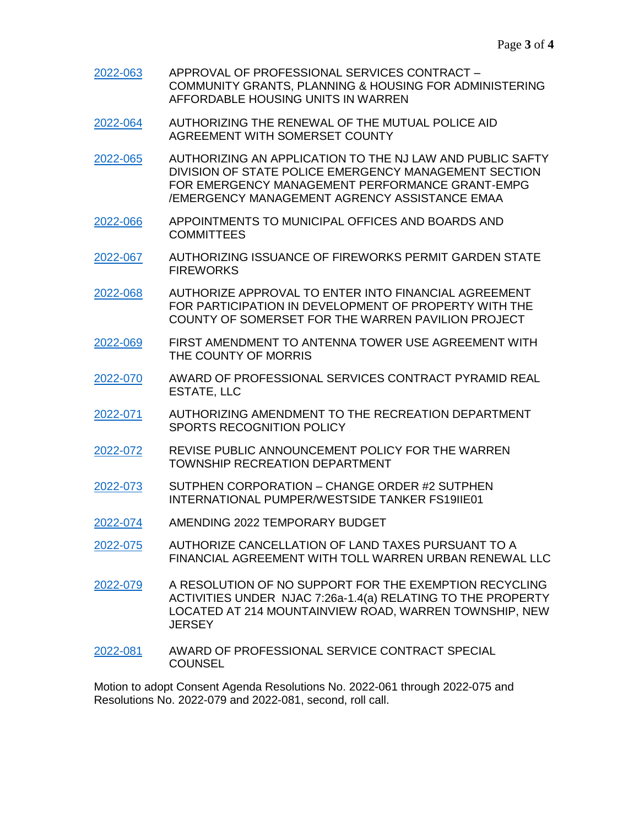- [2022-063](https://nj-warrentownship.civicplus.com/DocumentCenter/View/5475/2022-063-Professional-Service-Contract-CPGH-PDF) APPROVAL OF PROFESSIONAL SERVICES CONTRACT COMMUNITY GRANTS, PLANNING & HOUSING FOR ADMINISTERING AFFORDABLE HOUSING UNITS IN WARREN
- [2022-064](https://nj-warrentownship.civicplus.com/DocumentCenter/View/5457/2022-064-Police-Mutual-Aid-Agreement-PDF) AUTHORIZING THE RENEWAL OF THE MUTUAL POLICE AID AGREEMENT WITH SOMERSET COUNTY
- [2022-065](https://nj-warrentownship.civicplus.com/DocumentCenter/View/5458/2022-065-Authorizing-Application-for-the-OEM-Grant-PDF) AUTHORIZING AN APPLICATION TO THE NJ LAW AND PUBLIC SAFTY DIVISION OF STATE POLICE EMERGENCY MANAGEMENT SECTION FOR EMERGENCY MANAGEMENT PERFORMANCE GRANT-EMPG /EMERGENCY MANAGEMENT AGRENCY ASSISTANCE EMAA
- [2022-066](https://nj-warrentownship.civicplus.com/DocumentCenter/View/5459/2022-066-Municipal-Alliance-Appointments-PDF) APPOINTMENTS TO MUNICIPAL OFFICES AND BOARDS AND COMMITTEES
- [2022-067](https://nj-warrentownship.civicplus.com/DocumentCenter/View/5460/2022-067-Authorizing-Issuance-of-Fireworks-Permit---Garden-State-Fireworks-PDF) AUTHORIZING ISSUANCE OF FIREWORKS PERMIT GARDEN STATE **FIREWORKS**
- [2022-068](https://nj-warrentownship.civicplus.com/DocumentCenter/View/5461/2022-068-Authorize-Agreement-with-SC-for-Pavillion-PDF) AUTHORIZE APPROVAL TO ENTER INTO FINANCIAL AGREEMENT FOR PARTICIPATION IN DEVELOPMENT OF PROPERTY WITH THE COUNTY OF SOMERSET FOR THE WARREN PAVILION PROJECT
- [2022-069](https://nj-warrentownship.civicplus.com/DocumentCenter/View/5462/2022-069-First-Amendment-to-Antenna-Tower-Use-Agreement-PDF) FIRST AMENDMENT TO ANTENNA TOWER USE AGREEMENT WITH THE COUNTY OF MORRIS
- [2022-070](https://nj-warrentownship.civicplus.com/DocumentCenter/View/5463/2022-070-Prof-Service-Contract-Pyramid-Real-Estate-PDF) AWARD OF PROFESSIONAL SERVICES CONTRACT PYRAMID REAL ESTATE, LLC
- [2022-071](https://nj-warrentownship.civicplus.com/DocumentCenter/View/5464/2022-071-Amend-Sport-Recognition-Policy-PDF) AUTHORIZING AMENDMENT TO THE RECREATION DEPARTMENT SPORTS RECOGNITION POLICY
- [2022-072](https://nj-warrentownship.civicplus.com/DocumentCenter/View/5465/2022-072-Revise-Public-Announcement-Policy-for-Recreation-Dept-PDF) REVISE PUBLIC ANNOUNCEMENT POLICY FOR THE WARREN TOWNSHIP RECREATION DEPARTMENT
- [2022-073](https://nj-warrentownship.civicplus.com/DocumentCenter/View/5466/2022-073-Change-Order-2---Pumper-Westside-Tanker-PDF) SUTPHEN CORPORATION CHANGE ORDER #2 SUTPHEN INTERNATIONAL PUMPER/WESTSIDE TANKER FS19IIE01
- [2022-074](https://nj-warrentownship.civicplus.com/DocumentCenter/View/5467/2022-074-Amending-2022-Temporary-Budget-PDF) AMENDING 2022 TEMPORARY BUDGET
- [2022-075](https://nj-warrentownship.civicplus.com/DocumentCenter/View/5468/2022-075-RE-VILLAS-AT-WARREN-PDF) AUTHORIZE CANCELLATION OF LAND TAXES PURSUANT TO A FINANCIAL AGREEMENT WITH TOLL WARREN URBAN RENEWAL LLC
- [2022-079](https://nj-warrentownship.civicplus.com/DocumentCenter/View/5489/2022-079-No-support-for-Recycling-Exemption-PDF) A RESOLUTION OF NO SUPPORT FOR THE EXEMPTION RECYCLING ACTIVITIES UNDER NJAC 7:26a-1.4(a) RELATING TO THE PROPERTY LOCATED AT 214 MOUNTAINVIEW ROAD, WARREN TOWNSHIP, NEW **JERSEY**
- [2022-081](https://nj-warrentownship.civicplus.com/DocumentCenter/View/5498/2022-081-Prof-Service-Contract-Special-Counsel-PDF) AWARD OF PROFESSIONAL SERVICE CONTRACT SPECIAL **COUNSEL**

Motion to adopt Consent Agenda Resolutions No. 2022-061 through 2022-075 and Resolutions No. 2022-079 and 2022-081, second, roll call.